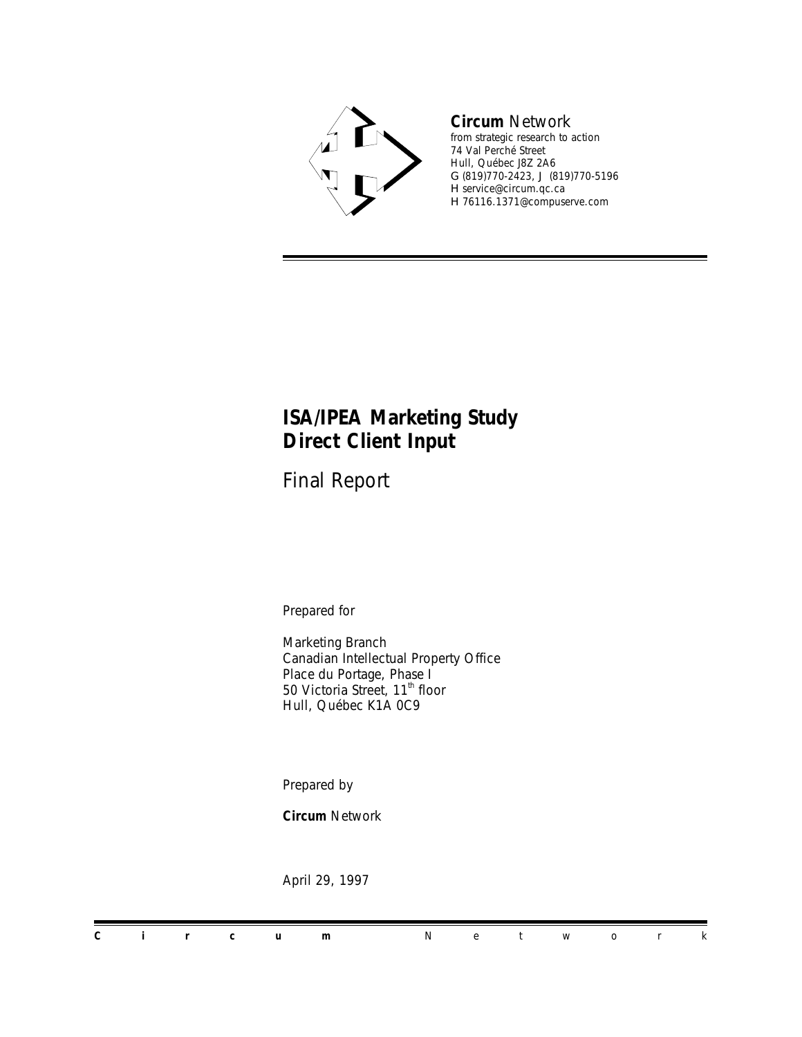

#### *Circum Network*

*from strategic research to action* 74 Val Perché Street Hull, Québec J8Z 2A6 G (819)770-2423, J (819)770-5196 H service@circum.qc.ca H 76116.1371@compuserve.com

#### *ISA/IPEA Marketing Study Direct Client Input*

Final Report

Prepared for

Marketing Branch Canadian Intellectual Property Office Place du Portage, Phase I 50 Victoria Street, 11<sup>th</sup> floor Hull, Québec K1A 0C9

Prepared by

*Circum Network*

April 29, 1997

*Circum Network*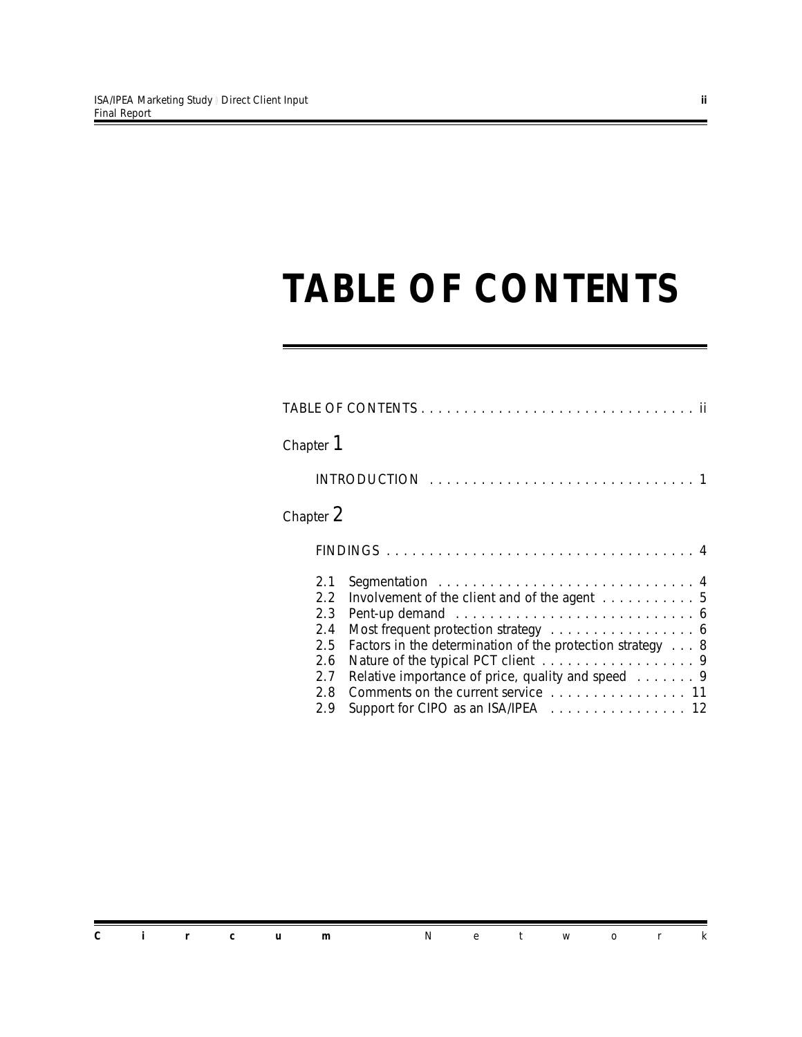### *TABLE OF CONTENTS*

| Chapter 1                                                                                                                                                                                                                                                                                                                                                                              |  |
|----------------------------------------------------------------------------------------------------------------------------------------------------------------------------------------------------------------------------------------------------------------------------------------------------------------------------------------------------------------------------------------|--|
|                                                                                                                                                                                                                                                                                                                                                                                        |  |
| Chapter 2                                                                                                                                                                                                                                                                                                                                                                              |  |
|                                                                                                                                                                                                                                                                                                                                                                                        |  |
| 2.1<br>Involvement of the client and of the agent 5<br>2.2<br>2.3<br>2.4<br>Most frequent protection strategy 6<br>Factors in the determination of the protection strategy 8<br>2.5<br>Nature of the typical PCT client 9<br>2.6<br>Relative importance of price, quality and speed 9<br>2.7<br>Comments on the current service 11<br>2.8<br>Support for CIPO as an ISA/IPEA 12<br>2.9 |  |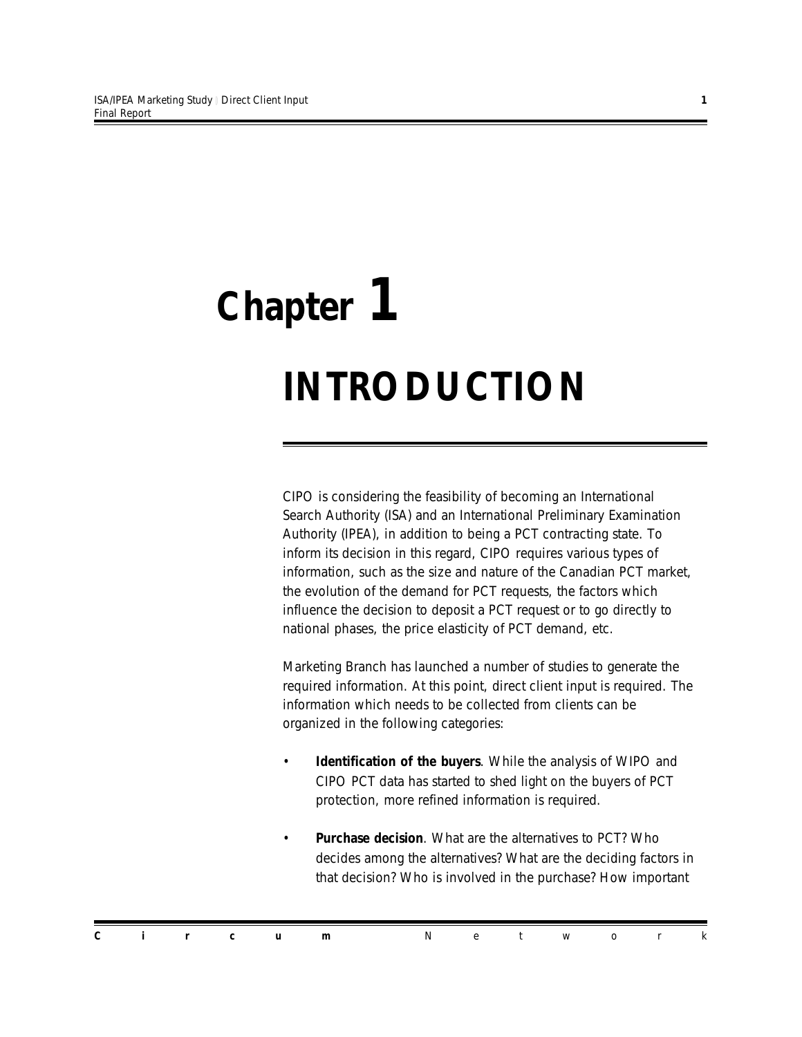# *Chapter 1 INTRODUCTION*

CIPO is considering the feasibility of becoming an International Search Authority (ISA) and an International Preliminary Examination Authority (IPEA), in addition to being a PCT contracting state. To inform its decision in this regard, CIPO requires various types of information, such as the size and nature of the Canadian PCT market, the evolution of the demand for PCT requests, the factors which influence the decision to deposit a PCT request or to go directly to national phases, the price elasticity of PCT demand, etc.

Marketing Branch has launched a number of studies to generate the required information. At this point, direct client input is required. The information which needs to be collected from clients can be organized in the following categories:

- *Identification of the buyers*. While the analysis of WIPO and CIPO PCT data has started to shed light on the buyers of PCT protection, more refined information is required.
- *Purchase decision*. What are the alternatives to PCT? Who decides among the alternatives? What are the deciding factors in that decision? Who is involved in the purchase? How important

*Circum Network*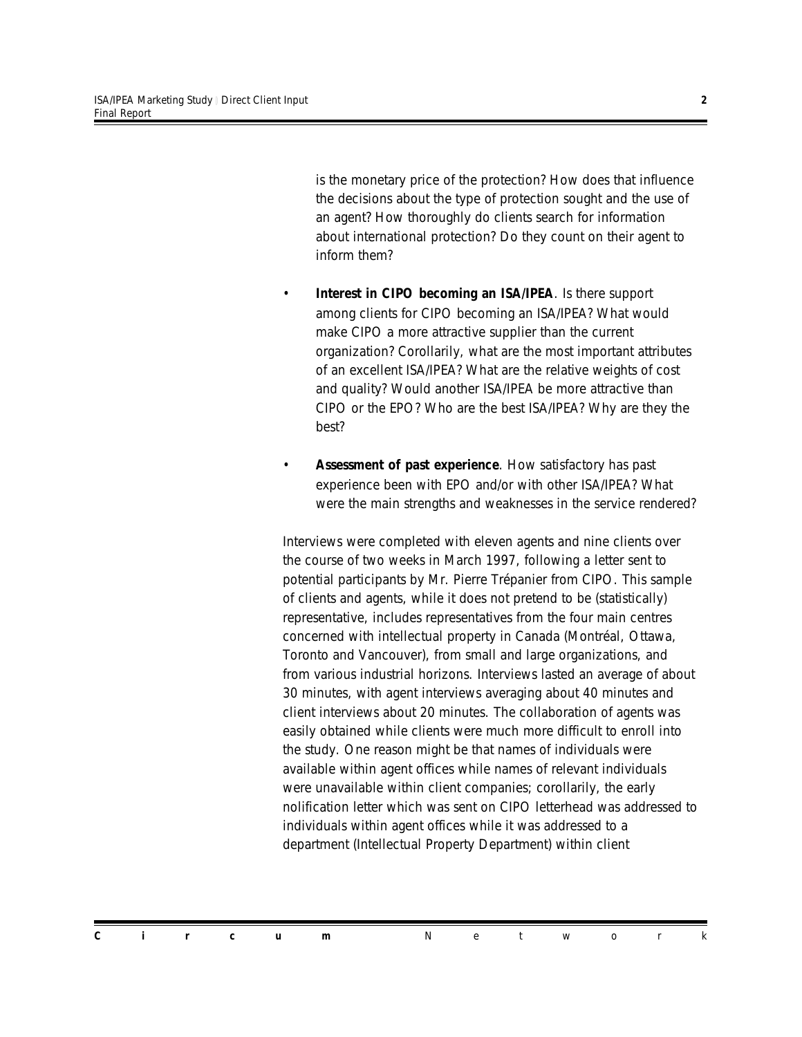is the monetary price of the protection? How does that influence the decisions about the type of protection sought and the use of an agent? How thoroughly do clients search for information about international protection? Do they count on their agent to inform them?

- **Interest in CIPO becoming an ISA/IPEA**. Is there support among clients for CIPO becoming an ISA/IPEA? What would make CIPO a more attractive supplier than the current organization? Corollarily, what are the most important attributes of an excellent ISA/IPEA? What are the relative weights of cost and quality? Would another ISA/IPEA be more attractive than CIPO or the EPO? Who are the best ISA/IPEA? Why are they the best?
- *Assessment of past experience*. How satisfactory has past experience been with EPO and/or with other ISA/IPEA? What were the main strengths and weaknesses in the service rendered?

Interviews were completed with eleven agents and nine clients over the course of two weeks in March 1997, following a letter sent to potential participants by Mr. Pierre Trépanier from CIPO. This sample of clients and agents, while it does not pretend to be (statistically) representative, includes representatives from the four main centres concerned with intellectual property in Canada (Montréal, Ottawa, Toronto and Vancouver), from small and large organizations, and from various industrial horizons. Interviews lasted an average of about 30 minutes, with agent interviews averaging about 40 minutes and client interviews about 20 minutes. The collaboration of agents was easily obtained while clients were much more difficult to enroll into the study. One reason might be that names of individuals were available within agent offices while names of relevant individuals were unavailable within client companies; corollarily, the early nolification letter which was sent on CIPO letterhead was addressed to individuals within agent offices while it was addressed to a department (Intellectual Property Department) within client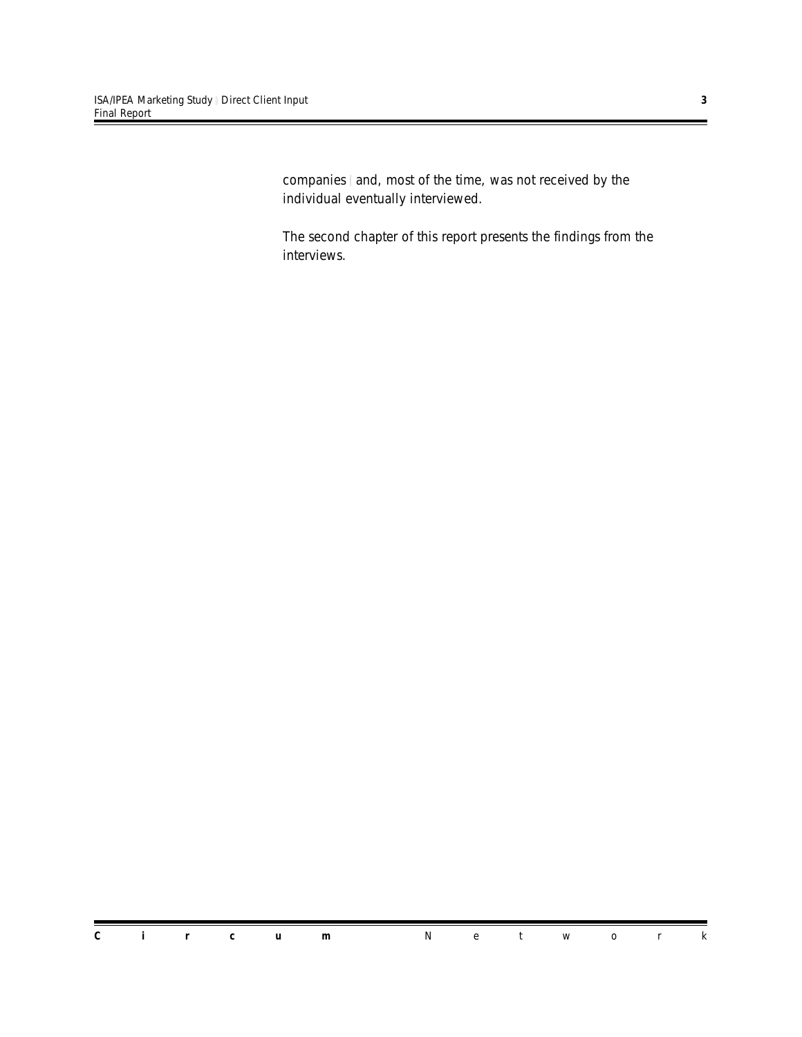companies | and, most of the time, was not received by the individual eventually interviewed.

The second chapter of this report presents the findings from the interviews.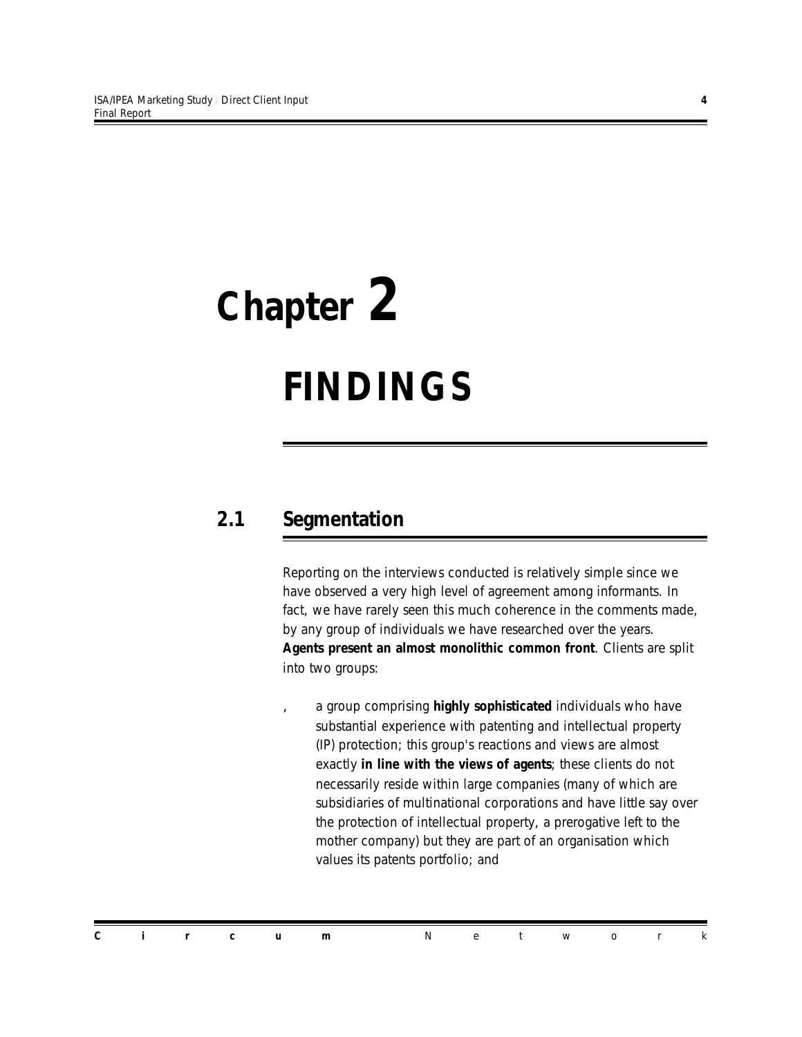## *Chapter 2*

## *FINDINGS*

#### *2.1 Segmentation*

Reporting on the interviews conducted is relatively simple since we have observed a very high level of agreement among informants. In fact, we have rarely seen this much coherence in the comments made, by any group of individuals we have researched over the years. *Agents present an almost monolithic common front*. Clients are split into two groups:

â a group comprising *highly sophisticated* individuals who have substantial experience with patenting and intellectual property (IP) protection; this group's reactions and views are almost exactly *in line with the views of agents*; these clients do not necessarily reside within large companies (many of which are subsidiaries of multinational corporations and have little say over the protection of intellectual property, a prerogative left to the mother company) but they are part of an organisation which values its patents portfolio; and

*Circum Network*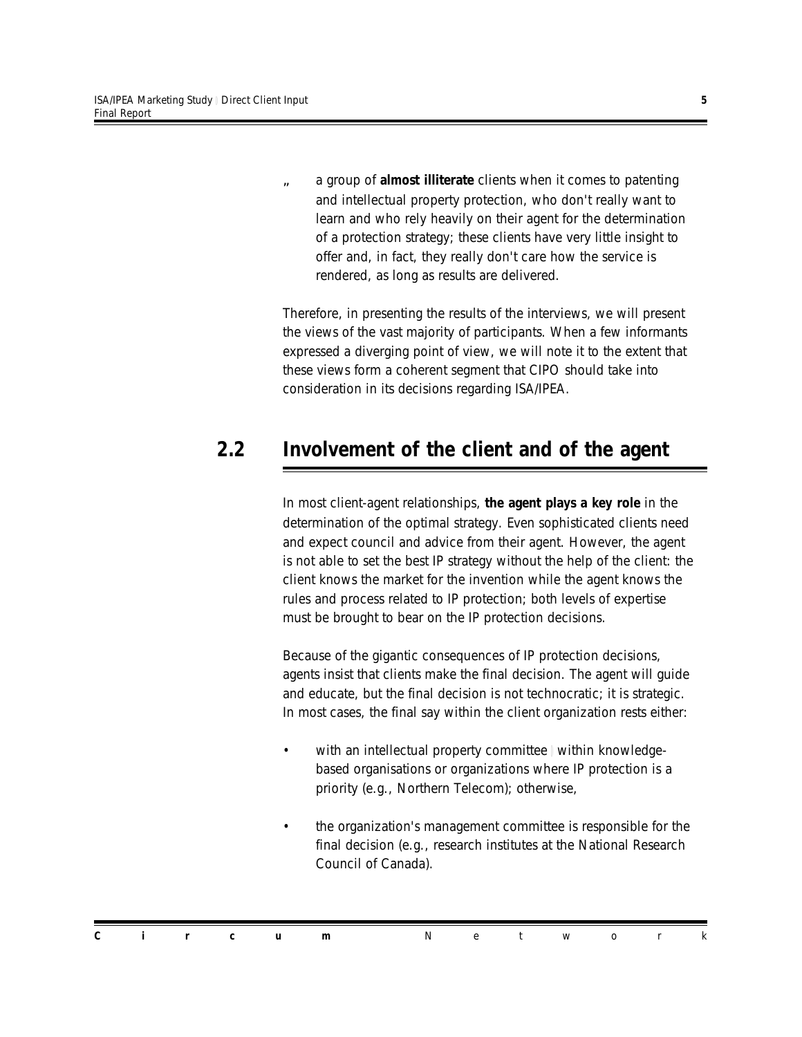ã a group of *almost illiterate* clients when it comes to patenting and intellectual property protection, who don't really want to learn and who rely heavily on their agent for the determination of a protection strategy; these clients have very little insight to offer and, in fact, they really don't care how the service is rendered, as long as results are delivered.

Therefore, in presenting the results of the interviews, we will present the views of the vast majority of participants. When a few informants expressed a diverging point of view, we will note it to the extent that these views form a coherent segment that CIPO should take into consideration in its decisions regarding ISA/IPEA.

#### *2.2 Involvement of the client and of the agent*

In most client-agent relationships, *the agent plays a key role* in the determination of the optimal strategy. Even sophisticated clients need and expect council and advice from their agent. However, the agent is not able to set the best IP strategy without the help of the client: the client knows the market for the invention while the agent knows the rules and process related to IP protection; both levels of expertise must be brought to bear on the IP protection decisions.

Because of the gigantic consequences of IP protection decisions, agents insist that clients make the final decision. The agent will guide and educate, but the final decision is not technocratic; it is strategic. In most cases, the final say within the client organization rests either:

- with an intellectual property committee | within knowledgebased organisations or organizations where IP protection is a priority (e.g., Northern Telecom); otherwise,
- the organization's management committee is responsible for the final decision (e.g., research institutes at the National Research Council of Canada).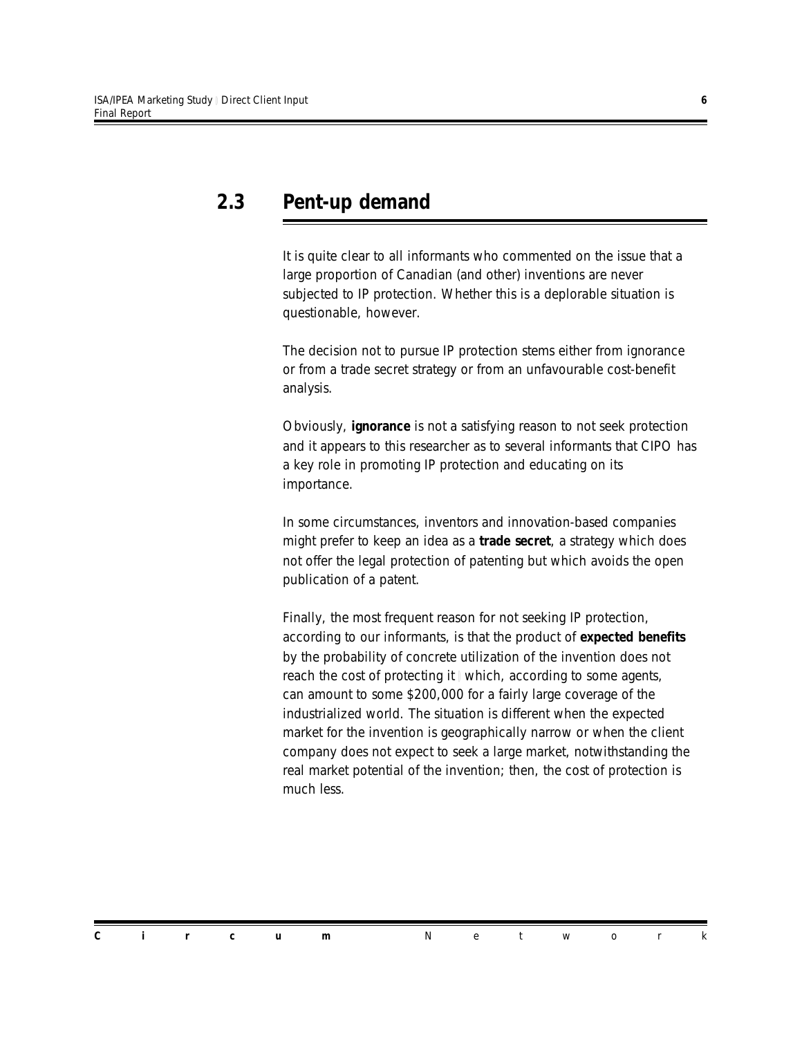#### *2.3 Pent-up demand*

It is quite clear to all informants who commented on the issue that a large proportion of Canadian (and other) inventions are never subjected to IP protection. Whether this is a deplorable situation is questionable, however.

The decision not to pursue IP protection stems either from ignorance or from a trade secret strategy or from an unfavourable cost-benefit analysis.

Obviously, *ignorance* is not a satisfying reason to not seek protection and it appears to this researcher as to several informants that CIPO has a key role in promoting IP protection and educating on its importance.

In some circumstances, inventors and innovation-based companies might prefer to keep an idea as a *trade secret*, a strategy which does not offer the legal protection of patenting but which avoids the open publication of a patent.

Finally, the most frequent reason for not seeking IP protection, according to our informants, is that the product of *expected benefits* by the probability of concrete utilization of the invention does not reach the cost of protecting it | which, according to some agents, can amount to some \$200,000 for a fairly large coverage of the industrialized world. The situation is different when the expected market for the invention is geographically narrow or when the client company does not expect to seek a large market, notwithstanding the real market potential of the invention; then, the cost of protection is much less.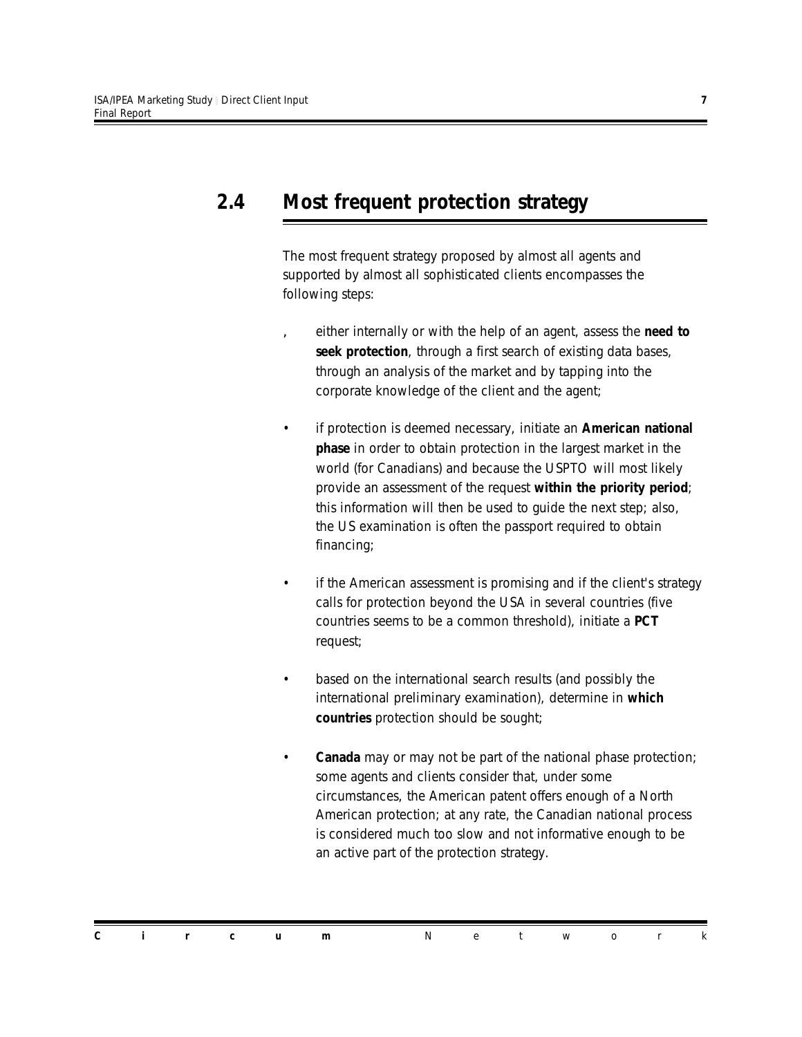#### *2.4 Most frequent protection strategy*

The most frequent strategy proposed by almost all agents and supported by almost all sophisticated clients encompasses the following steps:

- â either internally or with the help of an agent, assess the *need to seek protection*, through a first search of existing data bases, through an analysis of the market and by tapping into the corporate knowledge of the client and the agent;
- if protection is deemed necessary, initiate an *American national phase* in order to obtain protection in the largest market in the world (for Canadians) and because the USPTO will most likely provide an assessment of the request *within the priority period*; this information will then be used to guide the next step; also, the US examination is often the passport required to obtain financing;
- if the American assessment is promising and if the client's strategy calls for protection beyond the USA in several countries (five countries seems to be a common threshold), initiate a *PCT* request;
- based on the international search results (and possibly the international preliminary examination), determine in *which countries* protection should be sought;
- *Canada* may or may not be part of the national phase protection; some agents and clients consider that, under some circumstances, the American patent offers enough of a North American protection; at any rate, the Canadian national process is considered much too slow and not informative enough to be an active part of the protection strategy.

*Circum Network*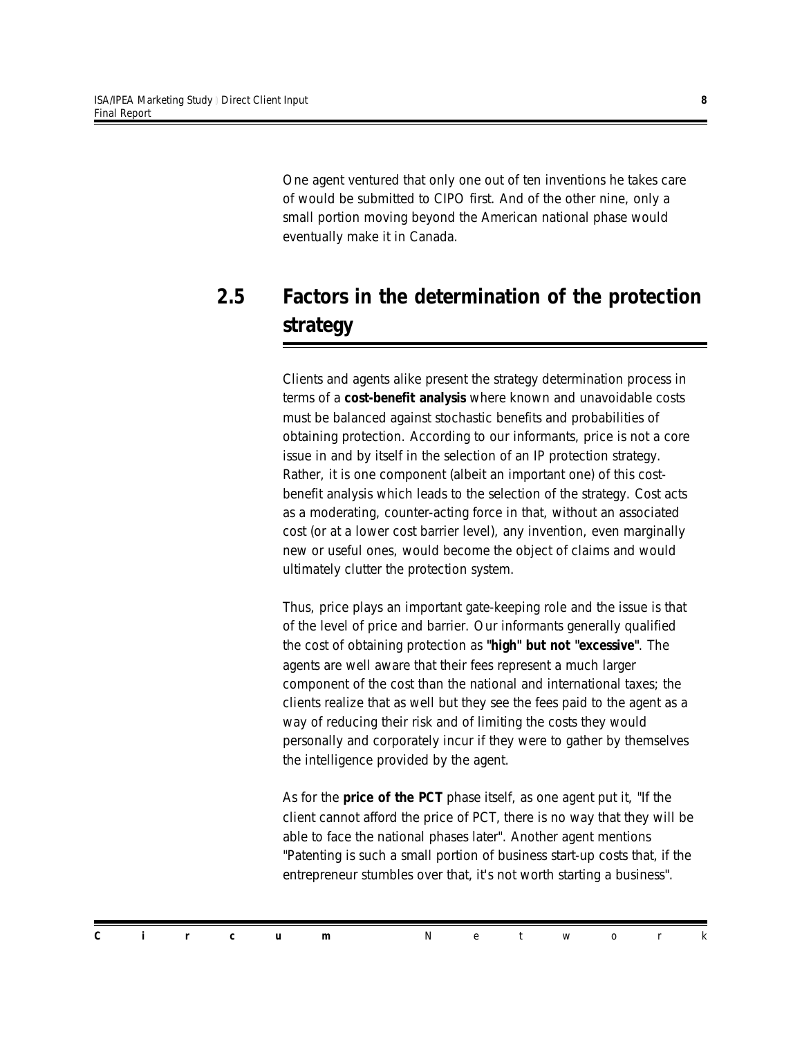One agent ventured that only one out of ten inventions he takes care of would be submitted to CIPO first. And of the other nine, only a small portion moving beyond the American national phase would eventually make it in Canada.

#### *2.5 Factors in the determination of the protection strategy*

Clients and agents alike present the strategy determination process in terms of a *cost-benefit analysis* where known and unavoidable costs must be balanced against stochastic benefits and probabilities of obtaining protection. According to our informants, price is not a core issue in and by itself in the selection of an IP protection strategy. Rather, it is one component (albeit an important one) of this costbenefit analysis which leads to the selection of the strategy. Cost acts as a moderating, counter-acting force in that, without an associated cost (or at a lower cost barrier level), any invention, even marginally new or useful ones, would become the object of claims and would ultimately clutter the protection system.

Thus, price plays an important gate-keeping role and the issue is that of the level of price and barrier. Our informants generally qualified the cost of obtaining protection as *"high" but not "excessive"*. The agents are well aware that their fees represent a much larger component of the cost than the national and international taxes; the clients realize that as well but they see the fees paid to the agent as a way of reducing their risk and of limiting the costs they would personally and corporately incur if they were to gather by themselves the intelligence provided by the agent.

As for the *price of the PCT* phase itself, as one agent put it, "*If the client cannot afford the price of PCT, there is no way that they will be able to face the national phases later*". Another agent mentions "*Patenting is such a small portion of business start-up costs that, if the entrepreneur stumbles over that, it's not worth starting a business*".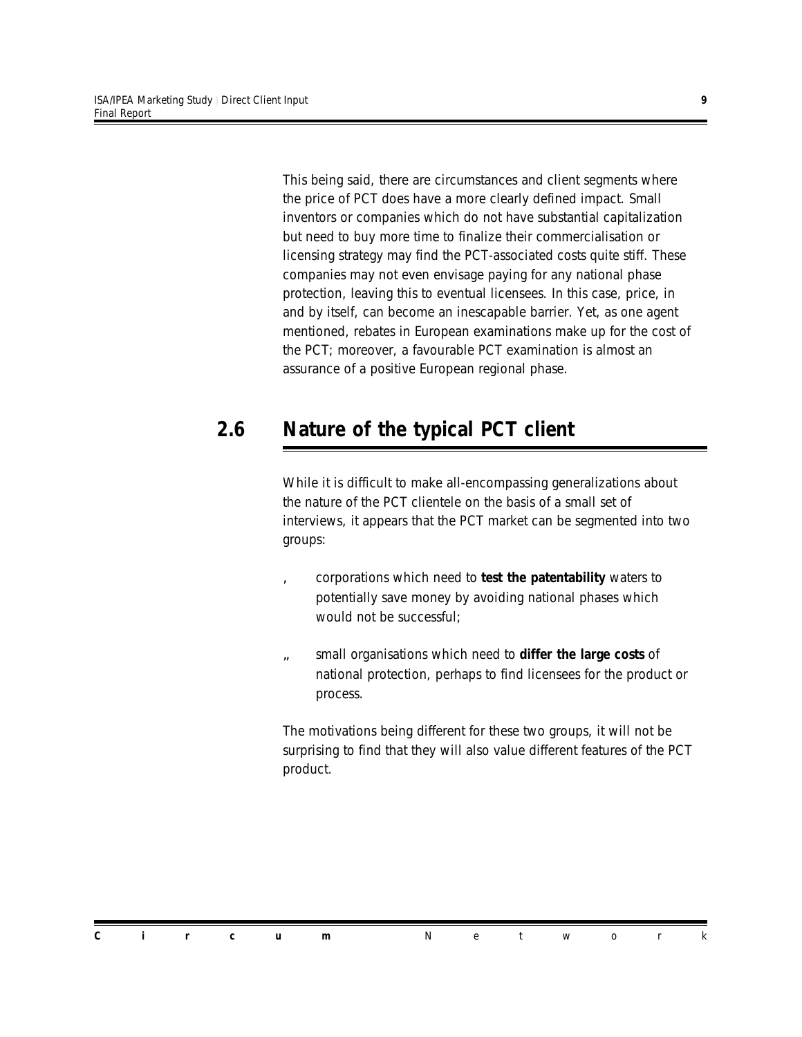This being said, there are circumstances and client segments where the price of PCT does have a more clearly defined impact. Small inventors or companies which do not have substantial capitalization but need to buy more time to finalize their commercialisation or licensing strategy may find the PCT-associated costs quite stiff. These companies may not even envisage paying for any national phase protection, leaving this to eventual licensees. In this case, price, in and by itself, can become an inescapable barrier. Yet, as one agent mentioned, rebates in European examinations make up for the cost of the PCT; moreover, a favourable PCT examination is almost an assurance of a positive European regional phase.

#### *2.6 Nature of the typical PCT client*

While it is difficult to make all-encompassing generalizations about the nature of the PCT clientele on the basis of a small set of interviews, it appears that the PCT market can be segmented into two groups:

- â corporations which need to *test the patentability* waters to potentially save money by avoiding national phases which would not be successful;
- ã small organisations which need to *differ the large costs* of national protection, perhaps to find licensees for the product or process.

The motivations being different for these two groups, it will not be surprising to find that they will also value different features of the PCT product.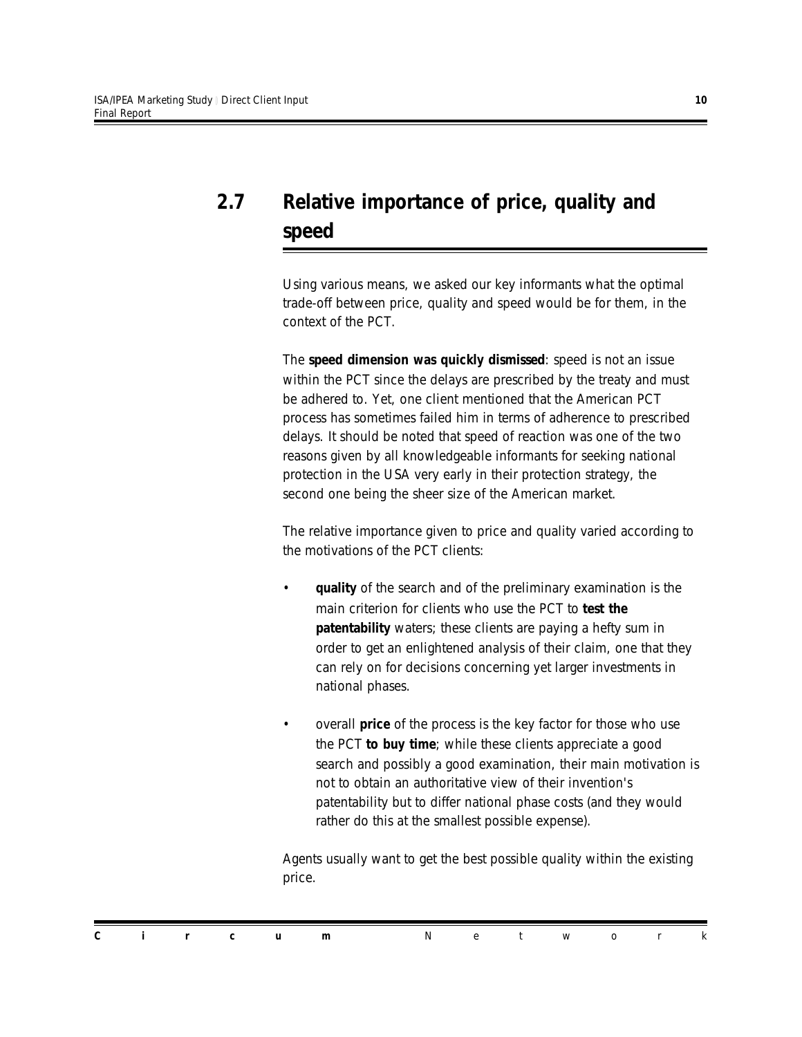#### *2.7 Relative importance of price, quality and speed*

Using various means, we asked our key informants what the optimal trade-off between price, quality and speed would be for them, in the context of the PCT.

The *speed dimension was quickly dismissed*: speed is not an issue within the PCT since the delays are prescribed by the treaty and must be adhered to. Yet, one client mentioned that the American PCT process has sometimes failed him in terms of adherence to prescribed delays. It should be noted that speed of reaction was one of the two reasons given by all knowledgeable informants for seeking national protection in the USA very early in their protection strategy, the second one being the sheer size of the American market.

The relative importance given to price and quality varied according to the motivations of the PCT clients:

- *quality* of the search and of the preliminary examination is the main criterion for clients who use the PCT to *test the patentability* waters; these clients are paying a hefty sum in order to get an enlightened analysis of their claim, one that they can rely on for decisions concerning yet larger investments in national phases.
- overall *price* of the process is the key factor for those who use the PCT *to buy time*; while these clients appreciate a good search and possibly a good examination, their main motivation is not to obtain an authoritative view of their invention's patentability but to differ national phase costs (and they would rather do this at the smallest possible expense).

Agents usually want to get the best possible quality within the existing price.

|  |  | <b>Circum</b> Network |  |  |  |  |
|--|--|-----------------------|--|--|--|--|
|  |  |                       |  |  |  |  |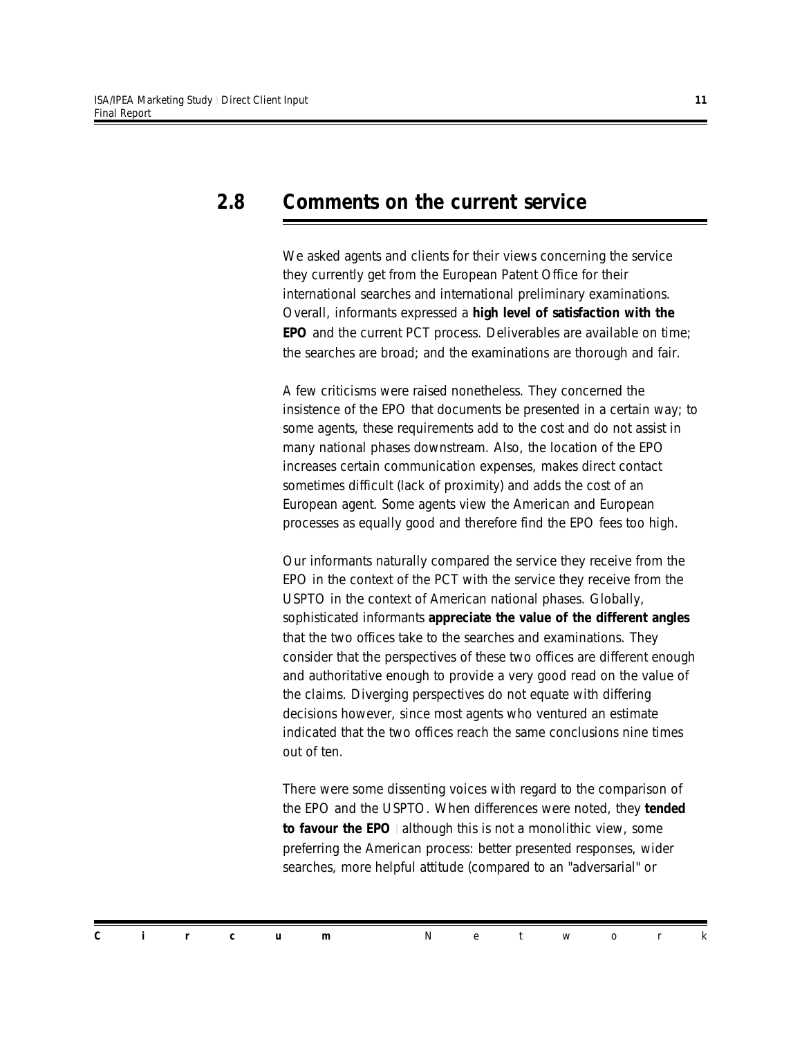#### *2.8 Comments on the current service*

We asked agents and clients for their views concerning the service they currently get from the European Patent Office for their international searches and international preliminary examinations. Overall, informants expressed a *high level of satisfaction with the EPO* and the current PCT process. Deliverables are available on time; the searches are broad; and the examinations are thorough and fair.

A few criticisms were raised nonetheless. They concerned the insistence of the EPO that documents be presented in a certain way; to some agents, these requirements add to the cost and do not assist in many national phases downstream. Also, the location of the EPO increases certain communication expenses, makes direct contact sometimes difficult (lack of proximity) and adds the cost of an European agent. Some agents view the American and European processes as equally good and therefore find the EPO fees too high.

Our informants naturally compared the service they receive from the EPO in the context of the PCT with the service they receive from the USPTO in the context of American national phases. Globally, sophisticated informants *appreciate the value of the different angles* that the two offices take to the searches and examinations. They consider that the perspectives of these two offices are different enough and authoritative enough to provide a very good read on the value of the claims. Diverging perspectives do not equate with differing decisions however, since most agents who ventured an estimate indicated that the two offices reach the same conclusions nine times out of ten.

There were some dissenting voices with regard to the comparison of the EPO and the USPTO. When differences were noted, they *tended to favour the EPO* although this is not a monolithic view, some preferring the American process: better presented responses, wider searches, more helpful attitude (compared to an "adversarial" or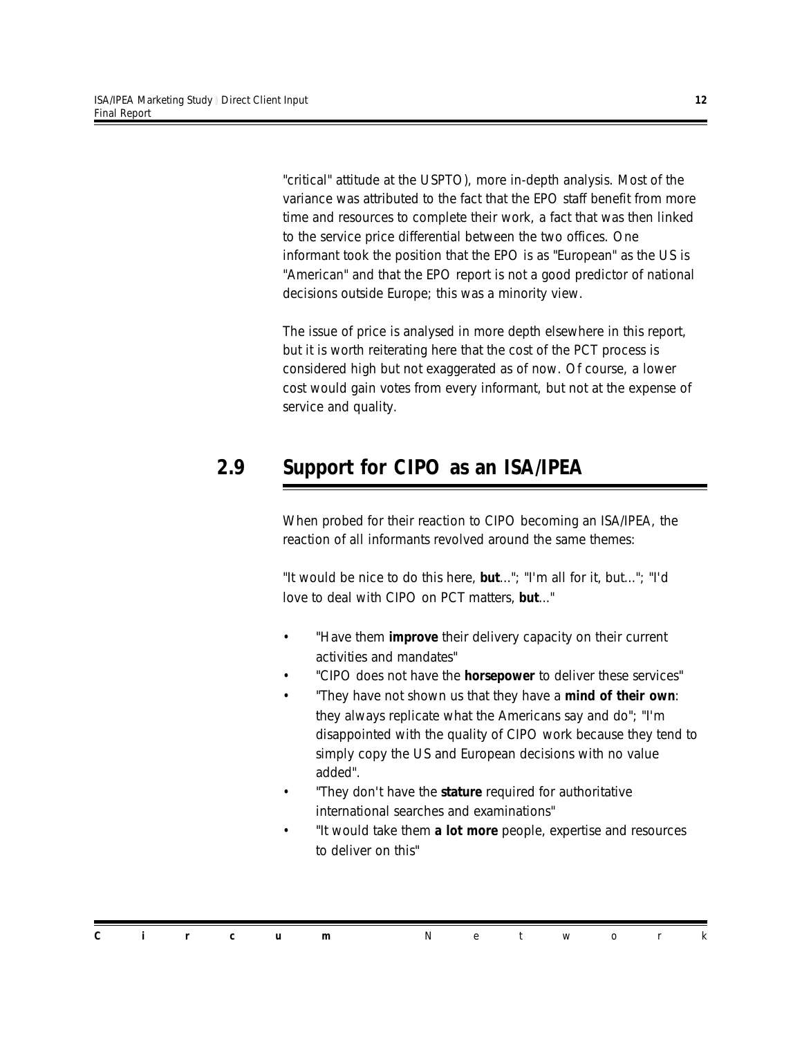"critical" attitude at the USPTO), more in-depth analysis. Most of the variance was attributed to the fact that the EPO staff benefit from more time and resources to complete their work, a fact that was then linked to the service price differential between the two offices. One informant took the position that the EPO is as "European" as the US is "American" and that the EPO report is not a good predictor of national decisions outside Europe; this was a minority view.

The issue of price is analysed in more depth elsewhere in this report, but it is worth reiterating here that the cost of the PCT process is considered high but not exaggerated as of now. Of course, a lower cost would gain votes from every informant, but not at the expense of service and quality.

#### *2.9 Support for CIPO as an ISA/IPEA*

When probed for their reaction to CIPO becoming an ISA/IPEA, the reaction of all informants revolved around the same themes:

"*It would be nice to do this here, but...*"; "*I'm all for it, but...*"; "*I'd love to deal with CIPO on PCT matters, but...*"

- "*Have them improve their delivery capacity on their current activities and mandates*"
- "*CIPO does not have the horsepower to deliver these services*"
- "*They have not shown us that they have a mind of their own: they always replicate what the Americans say and do*"; "*I'm disappointed with the quality of CIPO work because they tend to simply copy the US and European decisions with no value added*".
- "*They don't have the stature required for authoritative international searches and examinations*"
- "*It would take them a lot more people, expertise and resources to deliver on this*"

|  |  |  | <b>Circum</b> Network |  |  |  |
|--|--|--|-----------------------|--|--|--|